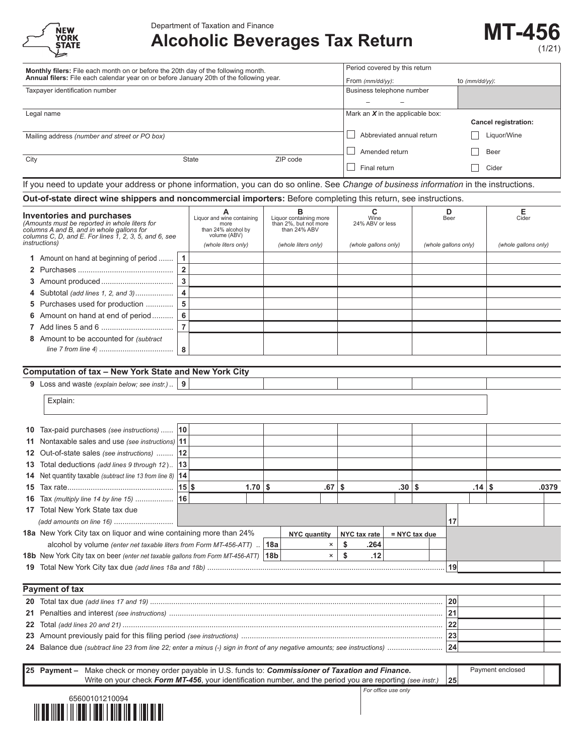| <b>NEW</b><br><b>YORK</b><br><b>STATE</b> |
|-------------------------------------------|
|                                           |

# **Alcoholic Beverages Tax Return MT-456**



|      | Monthly filers: File each month on or before the 20th day of the following month.<br>Annual filers: File each calendar year on or before January 20th of the following year. |                         |                                     |                                               | Period covered by this return                   |    |                                    |                     |                           |                      |           |                             |       |
|------|------------------------------------------------------------------------------------------------------------------------------------------------------------------------------|-------------------------|-------------------------------------|-----------------------------------------------|-------------------------------------------------|----|------------------------------------|---------------------|---------------------------|----------------------|-----------|-----------------------------|-------|
|      | Taxpayer identification number                                                                                                                                               |                         |                                     | From (mm/dd/yy):<br>Business telephone number |                                                 |    |                                    | to $(mm/dd/yy)$ :   |                           |                      |           |                             |       |
|      |                                                                                                                                                                              |                         |                                     |                                               |                                                 |    |                                    |                     |                           |                      |           |                             |       |
|      | Legal name                                                                                                                                                                   |                         |                                     |                                               |                                                 |    | Mark an $X$ in the applicable box: |                     |                           |                      |           | <b>Cancel registration:</b> |       |
|      |                                                                                                                                                                              |                         |                                     |                                               |                                                 |    |                                    |                     | Abbreviated annual return |                      |           |                             |       |
|      | Mailing address (number and street or PO box)                                                                                                                                |                         |                                     |                                               |                                                 |    |                                    |                     |                           |                      |           | Liquor/Wine                 |       |
| City |                                                                                                                                                                              |                         | State                               |                                               | ZIP code                                        |    | Amended return                     |                     |                           |                      |           | Beer                        |       |
|      |                                                                                                                                                                              |                         |                                     |                                               |                                                 |    | Final return                       |                     |                           |                      |           | Cider                       |       |
|      | If you need to update your address or phone information, you can do so online. See Change of business information in the instructions.                                       |                         |                                     |                                               |                                                 |    |                                    |                     |                           |                      |           |                             |       |
|      | Out-of-state direct wine shippers and noncommercial importers: Before completing this return, see instructions.                                                              |                         |                                     |                                               |                                                 |    |                                    |                     |                           |                      |           |                             |       |
|      | Inventories and purchases                                                                                                                                                    |                         | А                                   |                                               | в                                               |    | C                                  |                     |                           | D                    |           | Е                           |       |
|      | (Amounts must be reported in whole liters for                                                                                                                                |                         | Liquor and wine containing<br>more  |                                               | Liquor containing more<br>than 2%, but not more |    | Wine<br>24% ABV or less            |                     |                           | Beer                 |           | Cider                       |       |
|      | columns A and B, and in whole gallons for<br>columns C, D, and E. For lines $\overline{1}$ , 2, 3, 5, and 6, see                                                             |                         | than 24% alcohol by<br>volume (ABV) |                                               | than 24% ABV                                    |    |                                    |                     |                           |                      |           |                             |       |
|      | <i>instructions</i> )                                                                                                                                                        |                         | (whole liters only)                 |                                               | (whole liters only)                             |    | (whole gallons only)               |                     |                           | (whole gallons only) |           | (whole gallons only)        |       |
|      | 1 Amount on hand at beginning of period                                                                                                                                      | $\mathbf{1}$            |                                     |                                               |                                                 |    |                                    |                     |                           |                      |           |                             |       |
|      |                                                                                                                                                                              | $\overline{2}$          |                                     |                                               |                                                 |    |                                    |                     |                           |                      |           |                             |       |
|      |                                                                                                                                                                              | $\mathbf{3}$            |                                     |                                               |                                                 |    |                                    |                     |                           |                      |           |                             |       |
|      | Subtotal (add lines 1, 2, and 3)                                                                                                                                             | $\overline{\mathbf{4}}$ |                                     |                                               |                                                 |    |                                    |                     |                           |                      |           |                             |       |
|      | Purchases used for production                                                                                                                                                | 5                       |                                     |                                               |                                                 |    |                                    |                     |                           |                      |           |                             |       |
|      | Amount on hand at end of period                                                                                                                                              | 6                       |                                     |                                               |                                                 |    |                                    |                     |                           |                      |           |                             |       |
|      |                                                                                                                                                                              | $\overline{7}$          |                                     |                                               |                                                 |    |                                    |                     |                           |                      |           |                             |       |
|      | 8 Amount to be accounted for (subtract                                                                                                                                       |                         |                                     |                                               |                                                 |    |                                    |                     |                           |                      |           |                             |       |
|      |                                                                                                                                                                              | 8                       |                                     |                                               |                                                 |    |                                    |                     |                           |                      |           |                             |       |
|      | Computation of tax - New York State and New York City                                                                                                                        |                         |                                     |                                               |                                                 |    |                                    |                     |                           |                      |           |                             |       |
|      | 9 Loss and waste (explain below; see instr.)                                                                                                                                 | 9                       |                                     |                                               |                                                 |    |                                    |                     |                           |                      |           |                             |       |
|      |                                                                                                                                                                              |                         |                                     |                                               |                                                 |    |                                    |                     |                           |                      |           |                             |       |
|      | Explain:                                                                                                                                                                     |                         |                                     |                                               |                                                 |    |                                    |                     |                           |                      |           |                             |       |
|      |                                                                                                                                                                              |                         |                                     |                                               |                                                 |    |                                    |                     |                           |                      |           |                             |       |
|      | <b>10</b> Tax-paid purchases (see instructions)                                                                                                                              | 10                      |                                     |                                               |                                                 |    |                                    |                     |                           |                      |           |                             |       |
|      | 11 Nontaxable sales and use (see instructions) 11                                                                                                                            |                         |                                     |                                               |                                                 |    |                                    |                     |                           |                      |           |                             |       |
|      | 12 Out-of-state sales (see instructions)                                                                                                                                     | 12                      |                                     |                                               |                                                 |    |                                    |                     |                           |                      |           |                             |       |
|      | <b>13</b> Total deductions (add lines 9 through 12)                                                                                                                          | 13                      |                                     |                                               |                                                 |    |                                    |                     |                           |                      |           |                             |       |
|      | 14 Net quantity taxable (subtract line 13 from line 8) 14                                                                                                                    |                         |                                     |                                               |                                                 |    |                                    |                     |                           |                      |           |                             |       |
|      |                                                                                                                                                                              | $15$ \$                 | $1.70$ \$                           |                                               | .67                                             | \$ |                                    | .30   \$            |                           |                      | $.14$ \\$ |                             | .0379 |
|      |                                                                                                                                                                              |                         |                                     |                                               |                                                 |    |                                    |                     |                           |                      |           |                             |       |
|      | 17 Total New York State tax due                                                                                                                                              |                         |                                     |                                               |                                                 |    |                                    |                     |                           |                      |           |                             |       |
|      |                                                                                                                                                                              |                         |                                     |                                               |                                                 |    |                                    |                     |                           | 17                   |           |                             |       |
|      | 18a New York City tax on liquor and wine containing more than 24%                                                                                                            |                         |                                     |                                               | <b>NYC</b> quantity                             |    | NYC tax rate                       |                     | $=$ NYC tax due           |                      |           |                             |       |
|      | alcohol by volume (enter net taxable liters from Form MT-456-ATT)                                                                                                            |                         |                                     | 18a                                           | $\pmb{\times}$                                  |    | \$<br>.264                         |                     |                           |                      |           |                             |       |
|      | 18b New York City tax on beer (enter net taxable gallons from Form MT-456-ATT) 18b                                                                                           |                         |                                     |                                               | $\times$                                        |    | .12<br>\$                          |                     |                           |                      |           |                             |       |
|      |                                                                                                                                                                              |                         |                                     |                                               |                                                 |    |                                    |                     |                           | 19                   |           |                             |       |
|      | <b>Payment of tax</b>                                                                                                                                                        |                         |                                     |                                               |                                                 |    |                                    |                     |                           |                      |           |                             |       |
|      |                                                                                                                                                                              |                         |                                     |                                               |                                                 |    |                                    |                     |                           | 20                   |           |                             |       |
|      |                                                                                                                                                                              |                         |                                     |                                               |                                                 |    |                                    |                     |                           | 21                   |           |                             |       |
|      |                                                                                                                                                                              |                         |                                     |                                               |                                                 |    |                                    |                     |                           | 22                   |           |                             |       |
| 22   |                                                                                                                                                                              |                         |                                     |                                               |                                                 |    |                                    |                     |                           | 23                   |           |                             |       |
|      |                                                                                                                                                                              |                         |                                     |                                               |                                                 |    |                                    |                     |                           | 24                   |           |                             |       |
|      |                                                                                                                                                                              |                         |                                     |                                               |                                                 |    |                                    |                     |                           |                      |           |                             |       |
|      | 25 Payment - Make check or money order payable in U.S. funds to: Commissioner of Taxation and Finance.                                                                       |                         |                                     |                                               |                                                 |    |                                    |                     |                           |                      |           | Payment enclosed            |       |
|      | Write on your check Form MT-456, your identification number, and the period you are reporting (see instr.)                                                                   |                         |                                     |                                               |                                                 |    |                                    |                     |                           | 25                   |           |                             |       |
|      |                                                                                                                                                                              |                         |                                     |                                               |                                                 |    |                                    | For office use only |                           |                      |           |                             |       |
|      | 65600101210094                                                                                                                                                               |                         |                                     |                                               |                                                 |    |                                    |                     |                           |                      |           |                             |       |
|      |                                                                                                                                                                              |                         |                                     |                                               |                                                 |    |                                    |                     |                           |                      |           |                             |       |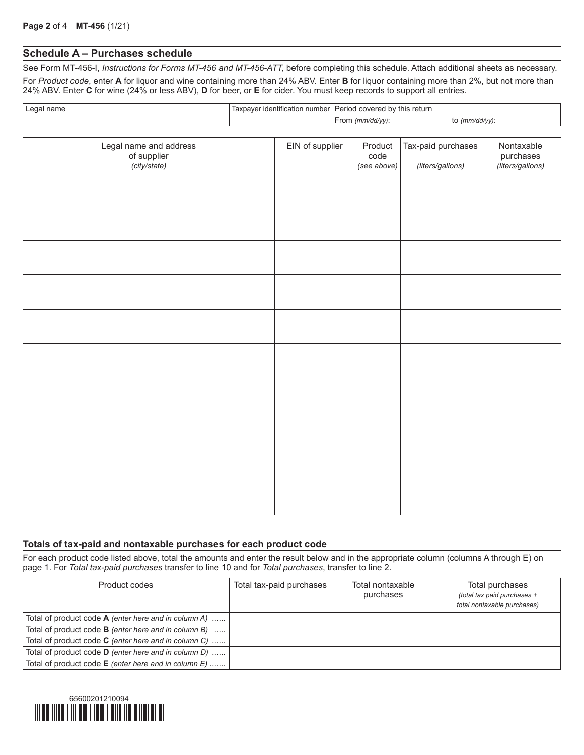## **Schedule A – Purchases schedule**

See Form MT-456-I, *Instructions for Forms MT-456 and MT-456-ATT,* before completing this schedule. Attach additional sheets as necessary. For *Product code*, enter **A** for liquor and wine containing more than 24% ABV. Enter **B** for liquor containing more than 2%, but not more than 24% ABV. Enter **C** for wine (24% or less ABV), **D** for beer, or **E** for cider. You must keep records to support all entries.

| , Legal name | I Taxpayer identification number   Period covered by this return |                                 |  |  |
|--------------|------------------------------------------------------------------|---------------------------------|--|--|
|              | From (mm/dd/yy):                                                 | to $\frac{\text{m}}{\text{d}x}$ |  |  |

| Legal name and address<br>of supplier<br>(city/state) | EIN of supplier | Product<br>code<br>(see above) | Tax-paid purchases<br>(liters/gallons) | Nontaxable<br>purchases<br>(liters/gallons) |
|-------------------------------------------------------|-----------------|--------------------------------|----------------------------------------|---------------------------------------------|
|                                                       |                 |                                |                                        |                                             |
|                                                       |                 |                                |                                        |                                             |
|                                                       |                 |                                |                                        |                                             |
|                                                       |                 |                                |                                        |                                             |
|                                                       |                 |                                |                                        |                                             |
|                                                       |                 |                                |                                        |                                             |
|                                                       |                 |                                |                                        |                                             |
|                                                       |                 |                                |                                        |                                             |
|                                                       |                 |                                |                                        |                                             |
|                                                       |                 |                                |                                        |                                             |

#### **Totals of tax-paid and nontaxable purchases for each product code**

For each product code listed above, total the amounts and enter the result below and in the appropriate column (columns A through E) on page 1. For *Total tax-paid purchases* transfer to line 10 and for *Total purchases*, transfer to line 2.

| Product codes                                               | Total tax-paid purchases | Total nontaxable<br>purchases | Total purchases<br>(total tax paid purchases +<br>total nontaxable purchases) |
|-------------------------------------------------------------|--------------------------|-------------------------------|-------------------------------------------------------------------------------|
| Total of product code $A$ (enter here and in column A)      |                          |                               |                                                                               |
| Total of product code <b>B</b> (enter here and in column B) |                          |                               |                                                                               |
| Total of product code C (enter here and in column C)        |                          |                               |                                                                               |
| Total of product code <b>D</b> (enter here and in column D) |                          |                               |                                                                               |
| Total of product code E (enter here and in column E)        |                          |                               |                                                                               |

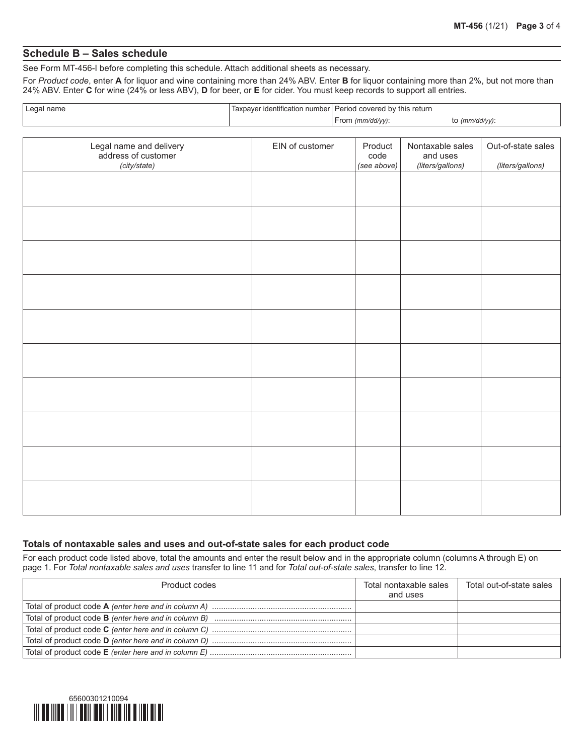### **Schedule B – Sales schedule**

See Form MT-456-I before completing this schedule. Attach additional sheets as necessary.

For *Product code*, enter **A** for liquor and wine containing more than 24% ABV. Enter **B** for liquor containing more than 2%, but not more than 24% ABV. Enter **C** for wine (24% or less ABV), **D** for beer, or **E** for cider. You must keep records to support all entries.

| Legal name | 'Taxpayer identification number   Period covered by this return |                   |
|------------|-----------------------------------------------------------------|-------------------|
|            | From $\langle mm/dd/\langle \gamma \rangle$ :                   | to $(mm/dd/yy)$ : |

| Legal name and delivery<br>address of customer<br>(city/state) | EIN of customer | Product<br>code<br>(see above) | Nontaxable sales<br>and uses<br>(liters/gallons) | Out-of-state sales<br>(liters/gallons) |
|----------------------------------------------------------------|-----------------|--------------------------------|--------------------------------------------------|----------------------------------------|
|                                                                |                 |                                |                                                  |                                        |
|                                                                |                 |                                |                                                  |                                        |
|                                                                |                 |                                |                                                  |                                        |
|                                                                |                 |                                |                                                  |                                        |
|                                                                |                 |                                |                                                  |                                        |
|                                                                |                 |                                |                                                  |                                        |
|                                                                |                 |                                |                                                  |                                        |
|                                                                |                 |                                |                                                  |                                        |
|                                                                |                 |                                |                                                  |                                        |
|                                                                |                 |                                |                                                  |                                        |

#### **Totals of nontaxable sales and uses and out-of-state sales for each product code**

For each product code listed above, total the amounts and enter the result below and in the appropriate column (columns A through E) on page 1. For *Total nontaxable sales and uses* transfer to line 11 and for *Total out-of-state sales*, transfer to line 12.

| Product codes | Total nontaxable sales<br>and uses | Total out-of-state sales |
|---------------|------------------------------------|--------------------------|
|               |                                    |                          |
|               |                                    |                          |
|               |                                    |                          |
|               |                                    |                          |
|               |                                    |                          |